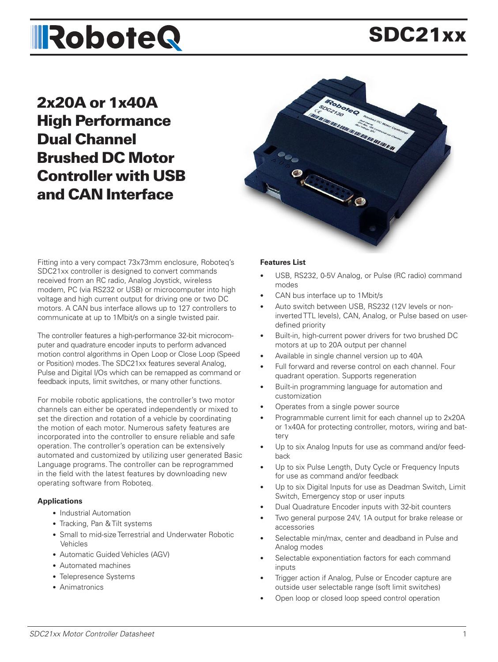# **IRoboteQ**

# SDC21xx

2x20A or 1x40A High Performance Dual Channel Brushed DC Motor Controller with USB and CAN Interface



Fitting into a very compact 73x73mm enclosure, Roboteq's SDC21xx controller is designed to convert commands received from an RC radio, Analog Joystick, wireless modem, PC (via RS232 or USB) or microcomputer into high voltage and high current output for driving one or two DC motors. A CAN bus interface allows up to 127 controllers to communicate at up to 1Mbit/s on a single twisted pair.

The controller features a high-performance 32-bit microcomputer and quadrature encoder inputs to perform advanced motion control algorithms in Open Loop or Close Loop (Speed or Position) modes. The SDC21xx features several Analog, Pulse and Digital I/Os which can be remapped as command or feedback inputs, limit switches, or many other functions.

For mobile robotic applications, the controller's two motor channels can either be operated independently or mixed to set the direction and rotation of a vehicle by coordinating the motion of each motor. Numerous safety features are incorporated into the controller to ensure reliable and safe operation. The controller's operation can be extensively automated and customized by utilizing user generated Basic Language programs. The controller can be reprogrammed in the field with the latest features by downloading new operating software from Roboteq.

### **Applications**

- Industrial Automation
- Tracking, Pan & Tilt systems
- Small to mid-size Terrestrial and Underwater Robotic Vehicles
- Automatic Guided Vehicles (AGV)
- Automated machines
- Telepresence Systems
- Animatronics

#### **Features List**

- USB, RS232, 0-5V Analog, or Pulse (RC radio) command modes
- CAN bus interface up to 1Mbit/s
- Auto switch between USB, RS232 (12V levels or noninverted TTL levels), CAN, Analog, or Pulse based on userdefined priority
- Built-in, high-current power drivers for two brushed DC motors at up to 20A output per channel
- Available in single channel version up to 40A
- Full forward and reverse control on each channel. Four quadrant operation. Supports regeneration
- Built-in programming language for automation and customization
- Operates from a single power source
- Programmable current limit for each channel up to 2x20A or 1x40A for protecting controller, motors, wiring and battery
- Up to six Analog Inputs for use as command and/or feedback
- Up to six Pulse Length, Duty Cycle or Frequency Inputs for use as command and/or feedback
- Up to six Digital Inputs for use as Deadman Switch, Limit Switch, Emergency stop or user inputs
- Dual Quadrature Encoder inputs with 32-bit counters
- Two general purpose 24V, 1A output for brake release or accessories
- Selectable min/max, center and deadband in Pulse and Analog modes
- Selectable exponentiation factors for each command inputs
- Trigger action if Analog, Pulse or Encoder capture are outside user selectable range (soft limit switches)
- Open loop or closed loop speed control operation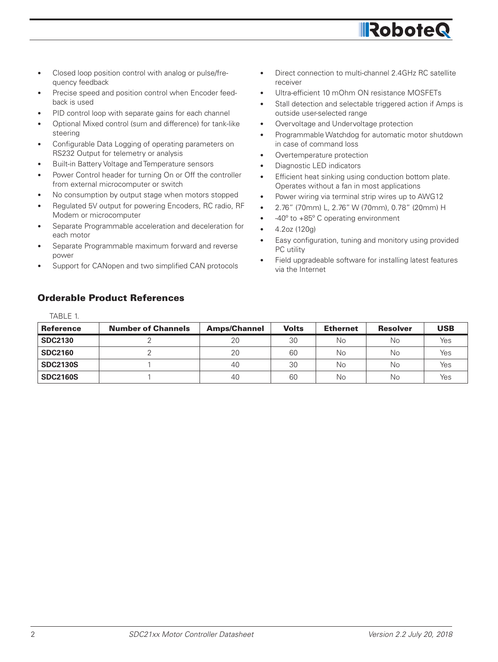

- Closed loop position control with analog or pulse/frequency feedback
- Precise speed and position control when Encoder feedback is used
- PID control loop with separate gains for each channel
- Optional Mixed control (sum and difference) for tank-like steering
- Configurable Data Logging of operating parameters on RS232 Output for telemetry or analysis
- Built-in Battery Voltage and Temperature sensors
- Power Control header for turning On or Off the controller from external microcomputer or switch
- No consumption by output stage when motors stopped
- Regulated 5V output for powering Encoders, RC radio, RF Modem or microcomputer
- Separate Programmable acceleration and deceleration for each motor
- Separate Programmable maximum forward and reverse power
- Support for CANopen and two simplified CAN protocols

• Direct connection to multi-channel 2.4GHz RC satellite receiver

**IRobote** 

- Ultra-efficient 10 mOhm ON resistance MOSFETs
- Stall detection and selectable triggered action if Amps is outside user-selected range
- Overvoltage and Undervoltage protection
- Programmable Watchdog for automatic motor shutdown in case of command loss
- Overtemperature protection
- Diagnostic LED indicators
- Efficient heat sinking using conduction bottom plate. Operates without a fan in most applications
- Power wiring via terminal strip wires up to AWG12
- 2.76" (70mm) L, 2.76" W (70mm), 0.78" (20mm) H
- -40º to +85º C operating environment
- 4.2oz (120g)
- Easy configuration, tuning and monitory using provided PC utility
- Field upgradeable software for installing latest features via the Internet

### Orderable Product References

TABLE 1.

| <b>Reference</b> | <b>Number of Channels</b> | <b>Amps/Channel</b> | <b>Volts</b> | <b>Ethernet</b> | <b>Resolver</b> | <b>USB</b> |
|------------------|---------------------------|---------------------|--------------|-----------------|-----------------|------------|
| <b>SDC2130</b>   |                           | 20                  | 30           | No              | Νo              | Yes        |
| <b>SDC2160</b>   |                           | 20                  | 60           | Νo              | Νo              | Yes        |
| <b>SDC2130S</b>  |                           | 40                  | 30           | Νo              | Νo              | Yes        |
| <b>SDC2160S</b>  |                           | 40                  | 60           | No.             | Νo              | Yes        |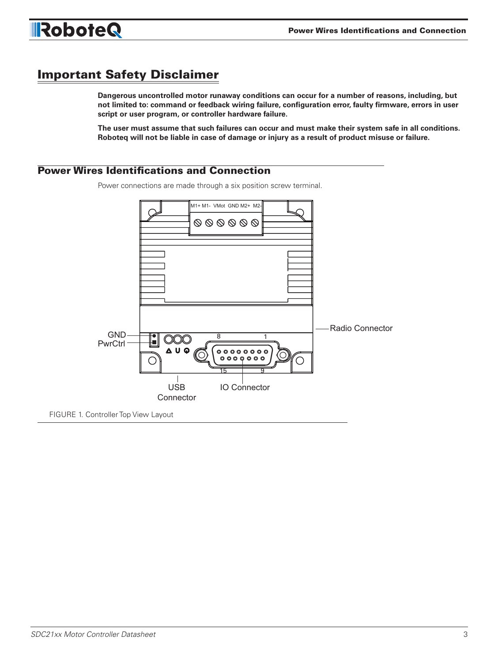

## Important Safety Disclaimer

**Dangerous uncontrolled motor runaway conditions can occur for a number of reasons, including, but not limited to: command or feedback wiring failure, configuration error, faulty firmware, errors in user script or user program, or controller hardware failure.** 

**The user must assume that such failures can occur and must make their system safe in all conditions. Roboteq will not be liable in case of damage or injury as a result of product misuse or failure.**

### Power Wires Identifications and Connection

Power connections are made through a six position screw terminal.

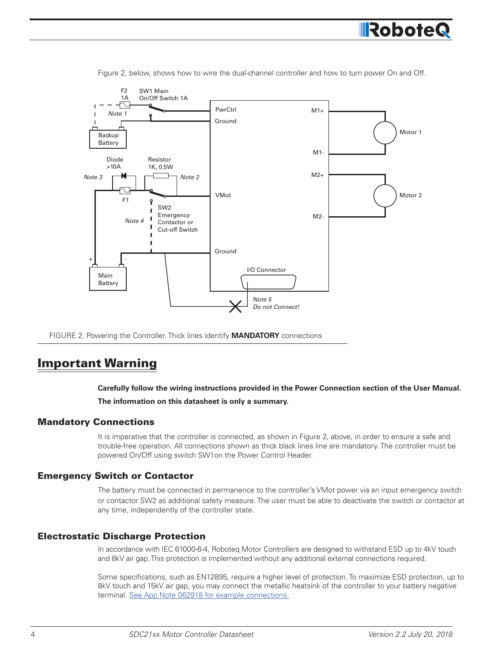

Figure 2, below, shows how to wire the dual-channel controller and how to turn power On and Off.

FIGURE 2. Powering the Controller. Thick lines identify **MANDATORY** connections

### Important Warning

**Carefully follow the wiring instructions provided in the Power Connection section of the User Manual.** 

**The information on this datasheet is only a summary.**

### Mandatory Connections

It is imperative that the controller is connected, as shown in Figure 2, above, in order to ensure a safe and trouble-free operation. All connections shown as thick black lines line are mandatory. The controller must be powered On/Off using switch SW1on the Power Control Header.

### Emergency Switch or Contactor

The battery must be connected in permanence to the controller's VMot power via an input emergency switch or contactor SW2 as additional safety measure. The user must be able to deactivate the switch or contactor at any time, independently of the controller state.

### Electrostatic Discharge Protection

In accordance with IEC 61000-6-4, Roboteq Motor Controllers are designed to withstand ESD up to 4kV touch and 8kV air gap. This protection is implemented without any additional external connections required.

Some specifications, such as EN12895, require a higher level of protection. To maximize ESD protection, up to 8kV touch and 15kV air gap, you may connect the metallic heatsink of the controller to your battery negative terminal. See App Note 062918 for example connections.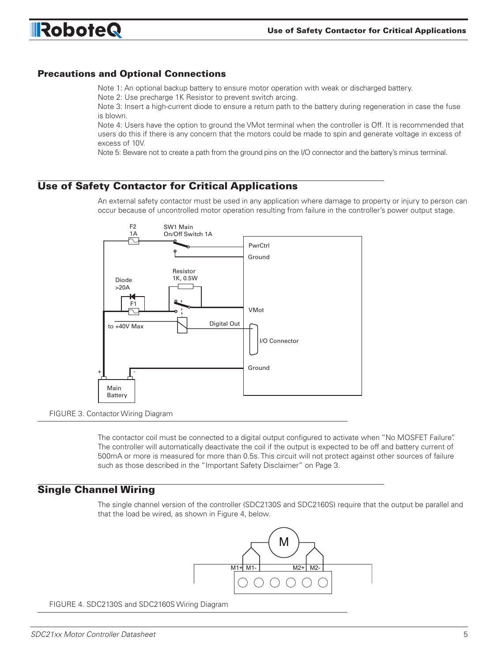

### Precautions and Optional Connections

Note 1: An optional backup battery to ensure motor operation with weak or discharged battery. Note 2: Use precharge 1K Resistor to prevent switch arcing.

Note 3: Insert a high-current diode to ensure a return path to the battery during regeneration in case the fuse is blown.

Note 4: Users have the option to ground the VMot terminal when the controller is Off. It is recommended that users do this if there is any concern that the motors could be made to spin and generate voltage in excess of excess of 10V.

Note 5: Beware not to create a path from the ground pins on the I/O connector and the battery's minus terminal.

### Use of Safety Contactor for Critical Applications

An external safety contactor must be used in any application where damage to property or injury to person can occur because of uncontrolled motor operation resulting from failure in the controller's power output stage.



FIGURE 3. Contactor Wiring Diagram

The contactor coil must be connected to a digital output configured to activate when "No MOSFET Failure". The controller will automatically deactivate the coil if the output is expected to be off and battery current of 500mA or more is measured for more than 0.5s. This circuit will not protect against other sources of failure such as those described in the "Important Safety Disclaimer" on Page 3.

### Single Channel Wiring

The single channel version of the controller (SDC2130S and SDC2160S) require that the output be parallel and that the load be wired, as shown in Figure 4, below.



FIGURE 4. SDC2130S and SDC2160S Wiring Diagram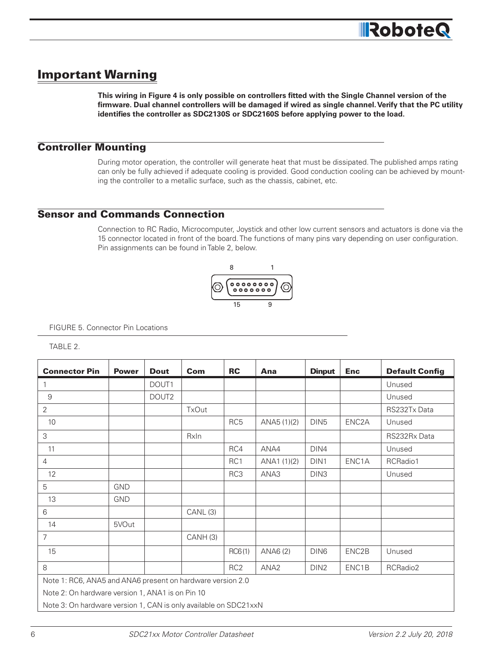# Important Warning

**This wiring in Figure 4 is only possible on controllers fitted with the Single Channel version of the firmware. Dual channel controllers will be damaged if wired as single channel. Verify that the PC utility identifies the controller as SDC2130S or SDC2160S before applying power to the load.**

### Controller Mounting

During motor operation, the controller will generate heat that must be dissipated. The published amps rating can only be fully achieved if adequate cooling is provided. Good conduction cooling can be achieved by mounting the controller to a metallic surface, such as the chassis, cabinet, etc.

### Sensor and Commands Connection

Connection to RC Radio, Microcomputer, Joystick and other low current sensors and actuators is done via the 15 connector located in front of the board. The functions of many pins vary depending on user configuration. Pin assignments can be found in Table 2, below.



FIGURE 5. Connector Pin Locations

TABLE 2.

| <b>Connector Pin</b>                                             | <b>Power</b> | <b>Dout</b> | Com          | <b>RC</b>       | Ana              | <b>Dinput</b>    | <b>Enc</b>         | <b>Default Config</b> |
|------------------------------------------------------------------|--------------|-------------|--------------|-----------------|------------------|------------------|--------------------|-----------------------|
| 1                                                                |              | DOUT1       |              |                 |                  |                  |                    | Unused                |
| 9                                                                |              | DOUT2       |              |                 |                  |                  |                    | Unused                |
| $\overline{2}$                                                   |              |             | <b>TxOut</b> |                 |                  |                  |                    | RS232Tx Data          |
| 10                                                               |              |             |              | RC <sub>5</sub> | ANA5 (1)(2)      | DIN <sub>5</sub> | ENC2A              | Unused                |
| 3                                                                |              |             | RxIn         |                 |                  |                  |                    | RS232Rx Data          |
| 11                                                               |              |             |              | RC4             | ANA4             | DIN4             |                    | Unused                |
| $\overline{4}$                                                   |              |             |              | RC1             | ANA1 (1)(2)      | DIN1             | ENC1A              | RCRadio1              |
| 12                                                               |              |             |              | RC3             | ANA3             | DIN <sub>3</sub> |                    | Unused                |
| 5                                                                | <b>GND</b>   |             |              |                 |                  |                  |                    |                       |
| 13                                                               | <b>GND</b>   |             |              |                 |                  |                  |                    |                       |
| 6                                                                |              |             | CANL(3)      |                 |                  |                  |                    |                       |
| 14                                                               | 5VOut        |             |              |                 |                  |                  |                    |                       |
| $\overline{7}$                                                   |              |             | CANH(3)      |                 |                  |                  |                    |                       |
| 15                                                               |              |             |              | RCG(1)          | ANA6 (2)         | DIN6             | ENC <sub>2</sub> B | Unused                |
| 8                                                                |              |             |              | RC <sub>2</sub> | ANA <sub>2</sub> | DIN <sub>2</sub> | ENC1B              | RCRadio2              |
| Note 1: RC6, ANA5 and ANA6 present on hardware version 2.0       |              |             |              |                 |                  |                  |                    |                       |
| Note 2: On hardware version 1, ANA1 is on Pin 10                 |              |             |              |                 |                  |                  |                    |                       |
| Note 3: On hardware version 1, CAN is only available on SDC21xxN |              |             |              |                 |                  |                  |                    |                       |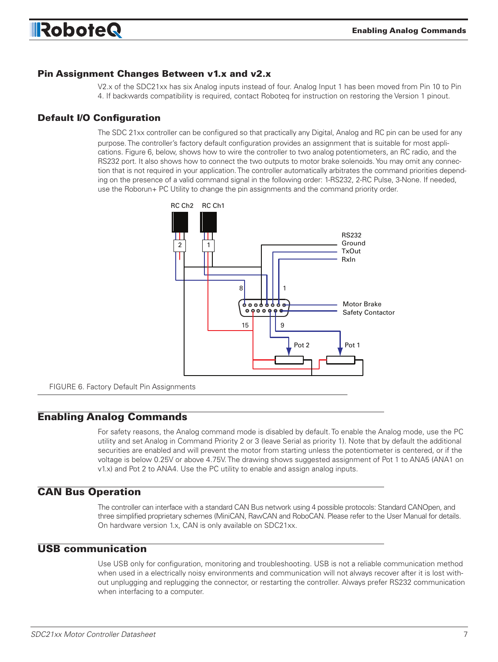

### Pin Assignment Changes Between v1.x and v2.x

V2.x of the SDC21xx has six Analog inputs instead of four. Analog Input 1 has been moved from Pin 10 to Pin 4. If backwards compatibility is required, contact Roboteq for instruction on restoring the Version 1 pinout.

### Default I/O Configuration

The SDC 21xx controller can be configured so that practically any Digital, Analog and RC pin can be used for any purpose. The controller's factory default configuration provides an assignment that is suitable for most applications. Figure 6, below, shows how to wire the controller to two analog potentiometers, an RC radio, and the RS232 port. It also shows how to connect the two outputs to motor brake solenoids. You may omit any connection that is not required in your application. The controller automatically arbitrates the command priorities depending on the presence of a valid command signal in the following order: 1-RS232, 2-RC Pulse, 3-None. If needed, use the Roborun+ PC Utility to change the pin assignments and the command priority order.



FIGURE 6. Factory Default Pin Assignments

### Enabling Analog Commands

For safety reasons, the Analog command mode is disabled by default. To enable the Analog mode, use the PC utility and set Analog in Command Priority 2 or 3 (leave Serial as priority 1). Note that by default the additional securities are enabled and will prevent the motor from starting unless the potentiometer is centered, or if the voltage is below 0.25V or above 4.75V. The drawing shows suggested assignment of Pot 1 to ANA5 (ANA1 on v1.x) and Pot 2 to ANA4. Use the PC utility to enable and assign analog inputs.

### CAN Bus Operation

The controller can interface with a standard CAN Bus network using 4 possible protocols: Standard CANOpen, and three simplified proprietary schemes (MiniCAN, RawCAN and RoboCAN. Please refer to the User Manual for details. On hardware version 1.x, CAN is only available on SDC21xx.

### USB communication

Use USB only for configuration, monitoring and troubleshooting. USB is not a reliable communication method when used in a electrically noisy environments and communication will not always recover after it is lost without unplugging and replugging the connector, or restarting the controller. Always prefer RS232 communication when interfacing to a computer.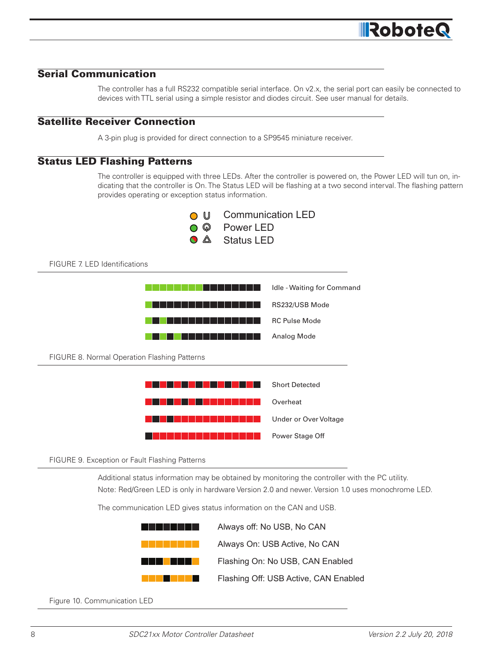# **IRobote**

### Serial Communication

The controller has a full RS232 compatible serial interface. On v2.x, the serial port can easily be connected to devices with TTL serial using a simple resistor and diodes circuit. See user manual for details.

### Satellite Receiver Connection

A 3-pin plug is provided for direct connection to a SP9545 miniature receiver.

### Status LED Flashing Patterns

The controller is equipped with three LEDs. After the controller is powered on, the Power LED will tun on, indicating that the controller is On. The Status LED will be flashing at a two second interval. The flashing pattern provides operating or exception status information.



FIGURE 7. LED Identifications



#### FIGURE 9. Exception or Fault Flashing Patterns

Additional status information may be obtained by monitoring the controller with the PC utility. Note: Red/Green LED is only in hardware Version 2.0 and newer. Version 1.0 uses monochrome LED.

Power Stage Off

The communication LED gives status information on the CAN and USB.

<u>an an tan an tan an sa sa tan an sa sa sa sa </u>

|      | Always off: No USB, No CAN            |
|------|---------------------------------------|
|      | Always On: USB Active, No CAN         |
| a ka | Flashing On: No USB, CAN Enabled      |
|      | Flashing Off: USB Active, CAN Enabled |

Figure 10. Communication LED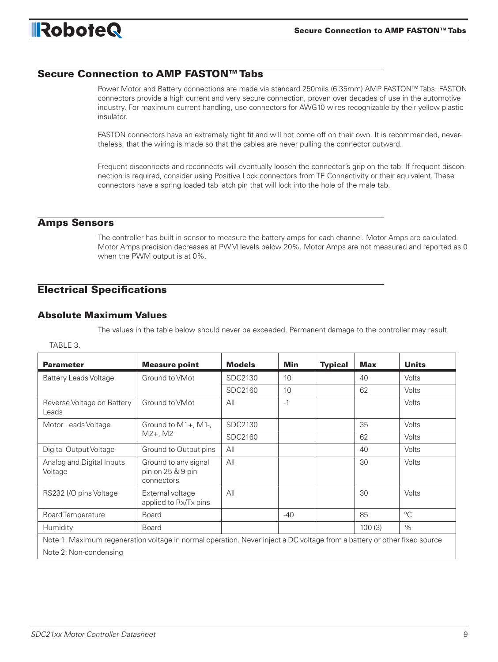### Secure Connection to AMP FASTON™ Tabs

Power Motor and Battery connections are made via standard 250mils (6.35mm) AMP FASTON™ Tabs. FASTON connectors provide a high current and very secure connection, proven over decades of use in the automotive industry. For maximum current handling, use connectors for AWG10 wires recognizable by their yellow plastic insulator.

FASTON connectors have an extremely tight fit and will not come off on their own. It is recommended, nevertheless, that the wiring is made so that the cables are never pulling the connector outward.

Frequent disconnects and reconnects will eventually loosen the connector's grip on the tab. If frequent disconnection is required, consider using Positive Lock connectors from TE Connectivity or their equivalent. These connectors have a spring loaded tab latch pin that will lock into the hole of the male tab.

### Amps Sensors

The controller has built in sensor to measure the battery amps for each channel. Motor Amps are calculated. Motor Amps precision decreases at PWM levels below 20%. Motor Amps are not measured and reported as 0 when the PWM output is at 0%.

### Electrical Specifications

### Absolute Maximum Values

The values in the table below should never be exceeded. Permanent damage to the controller may result.

#### TABLE 3.

| <b>Parameter</b>                                                                                                         | <b>Measure point</b>                                    | <b>Models</b> | <b>Min</b> | <b>Typical</b> | <b>Max</b> | <b>Units</b> |  |
|--------------------------------------------------------------------------------------------------------------------------|---------------------------------------------------------|---------------|------------|----------------|------------|--------------|--|
| <b>Battery Leads Voltage</b>                                                                                             | Ground to VMot                                          | SDC2130       | 10         |                | 40         | Volts        |  |
|                                                                                                                          |                                                         | SDC2160       | 10         |                | 62         | Volts        |  |
| Reverse Voltage on Battery<br>Leads                                                                                      | Ground to VMot                                          | All           | $-1$       |                |            | Volts        |  |
| Motor Leads Voltage                                                                                                      | Ground to $M1+$ , M1-,                                  | SDC2130       |            |                | 35         | Volts        |  |
|                                                                                                                          | $M2+$ , M2-                                             | SDC2160       |            |                | 62         | Volts        |  |
| Digital Output Voltage                                                                                                   | Ground to Output pins                                   | All           |            |                | 40         | Volts        |  |
| Analog and Digital Inputs<br>Voltage                                                                                     | Ground to any signal<br>pin on 25 & 9-pin<br>connectors | All           |            |                | 30         | Volts        |  |
| RS232 I/O pins Voltage                                                                                                   | External voltage<br>applied to Rx/Tx pins               | All           |            |                | 30         | Volts        |  |
| <b>Board Temperature</b>                                                                                                 | <b>Board</b>                                            |               | $-40$      |                | 85         | $^{\circ}C$  |  |
| Humidity                                                                                                                 | <b>Board</b>                                            |               |            |                | 100(3)     | $\%$         |  |
| Note 1: Maximum regeneration voltage in normal operation. Never inject a DC voltage from a battery or other fixed source |                                                         |               |            |                |            |              |  |
| Note 2: Non-condensing                                                                                                   |                                                         |               |            |                |            |              |  |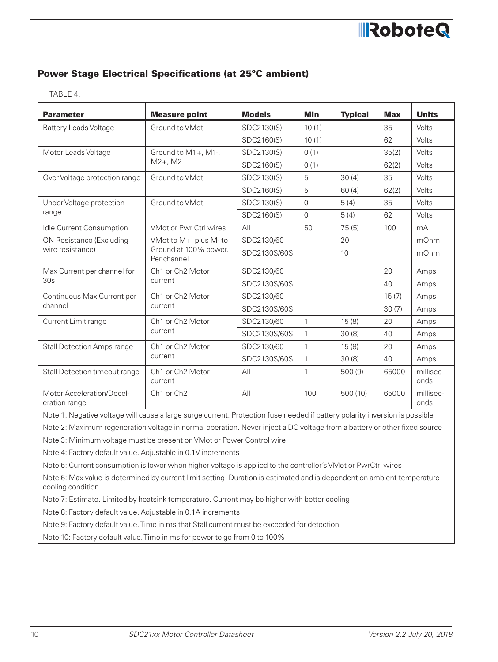### Power Stage Electrical Specifications (at 25ºC ambient)

TABLE 4.

| <b>Parameter</b>                           | <b>Measure point</b>                                           | <b>Models</b> | Min      | <b>Typical</b> | <b>Max</b> | <b>Units</b>      |
|--------------------------------------------|----------------------------------------------------------------|---------------|----------|----------------|------------|-------------------|
| <b>Battery Leads Voltage</b>               | Ground to VMot                                                 | SDC2130(S)    | 10(1)    |                | 35         | Volts             |
|                                            |                                                                | SDC2160(S)    | 10(1)    |                | 62         | Volts             |
| Motor Leads Voltage                        | Ground to M1+, M1-,                                            | SDC2130(S)    | 0(1)     |                | 35(2)      | Volts             |
|                                            | $M2+$ , M2-                                                    | SDC2160(S)    | 0(1)     |                | 62(2)      | Volts             |
| Over Voltage protection range              | Ground to VMot                                                 | SDC2130(S)    | 5        | 30(4)          | 35         | Volts             |
|                                            |                                                                | SDC2160(S)    | 5        | 60(4)          | 62(2)      | Volts             |
| Under Voltage protection                   | Ground to VMot                                                 | SDC2130(S)    | 0        | 5(4)           | 35         | Volts             |
| range                                      |                                                                | SDC2160(S)    | $\Omega$ | 5(4)           | 62         | Volts             |
| Idle Current Consumption                   | <b>VMot or Pwr Ctrl wires</b>                                  | All           | 50       | 75(5)          | 100        | mA                |
| ON Resistance (Excluding                   | VMot to M+, plus M- to<br>Ground at 100% power.<br>Per channel | SDC2130/60    |          | 20             |            | mOhm              |
| wire resistance)                           |                                                                | SDC2130S/60S  |          | 10             |            | mOhm              |
| Max Current per channel for                | Ch <sub>1</sub> or Ch <sub>2</sub> Motor<br>current            | SDC2130/60    |          |                | 20         | Amps              |
| 30s                                        |                                                                | SDC2130S/60S  |          |                | 40         | Amps              |
| Continuous Max Current per                 | Ch <sub>1</sub> or Ch <sub>2</sub> Motor<br>current            | SDC2130/60    |          |                | 15(7)      | Amps              |
| channel                                    |                                                                | SDC2130S/60S  |          |                | 30(7)      | Amps              |
| Current Limit range                        | Ch1 or Ch2 Motor                                               | SDC2130/60    | 1        | 15(8)          | 20         | Amps              |
|                                            | current                                                        | SDC2130S/60S  | 1        | 30(8)          | 40         | Amps              |
| <b>Stall Detection Amps range</b>          | Ch1 or Ch2 Motor                                               | SDC2130/60    | 1        | 15(8)          | 20         | Amps              |
|                                            | current                                                        | SDC2130S/60S  | 1        | 30(8)          | 40         | Amps              |
| Stall Detection timeout range              | Ch1 or Ch2 Motor<br>current                                    | All           | 1        | 500 (9)        | 65000      | millisec-<br>onds |
| Motor Acceleration/Decel-<br>eration range | Ch <sub>1</sub> or Ch <sub>2</sub>                             | All           | 100      | 500 (10)       | 65000      | millisec-<br>onds |

Note 1: Negative voltage will cause a large surge current. Protection fuse needed if battery polarity inversion is possible

Note 2: Maximum regeneration voltage in normal operation. Never inject a DC voltage from a battery or other fixed source

Note 3: Minimum voltage must be present on VMot or Power Control wire

Note 4: Factory default value. Adjustable in 0.1V increments

Note 5: Current consumption is lower when higher voltage is applied to the controller's VMot or PwrCtrl wires

Note 6: Max value is determined by current limit setting. Duration is estimated and is dependent on ambient temperature cooling condition

Note 7: Estimate. Limited by heatsink temperature. Current may be higher with better cooling

Note 8: Factory default value. Adjustable in 0.1A increments

Note 9: Factory default value. Time in ms that Stall current must be exceeded for detection

Note 10: Factory default value. Time in ms for power to go from 0 to 100%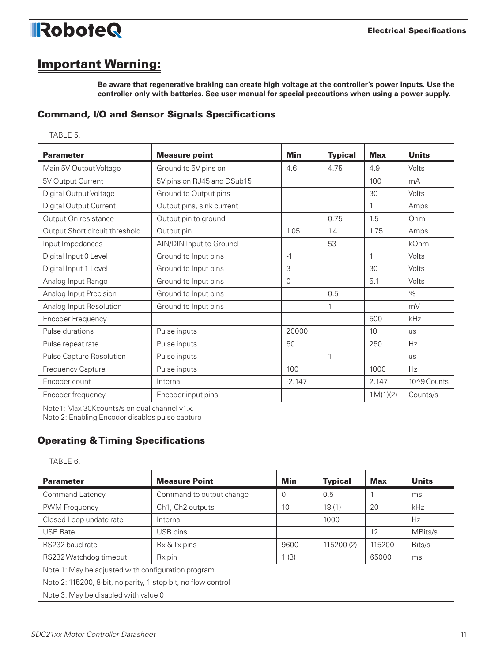

### Important Warning:

**Be aware that regenerative braking can create high voltage at the controller's power inputs. Use the controller only with batteries. See user manual for special precautions when using a power supply.**

### Command, I/O and Sensor Signals Specifications

| ×<br>۰, |
|---------|
|---------|

| <b>Parameter</b>                                                                                | <b>Measure point</b>       | Min            | <b>Typical</b> | <b>Max</b> | <b>Units</b> |  |  |
|-------------------------------------------------------------------------------------------------|----------------------------|----------------|----------------|------------|--------------|--|--|
| Main 5V Output Voltage                                                                          | Ground to 5V pins on       | 4.6            | 4.75           | 4.9        | Volts        |  |  |
| 5V Output Current                                                                               | 5V pins on RJ45 and DSub15 |                |                | 100        | mA           |  |  |
| Digital Output Voltage                                                                          | Ground to Output pins      |                |                | 30         | Volts        |  |  |
| Digital Output Current                                                                          | Output pins, sink current  |                |                | 1          | Amps         |  |  |
| Output On resistance                                                                            | Output pin to ground       |                | 0.75           | 1.5        | Ohm          |  |  |
| Output Short circuit threshold                                                                  | Output pin                 | 1.05           | 1.4            | 1.75       | Amps         |  |  |
| Input Impedances                                                                                | AIN/DIN Input to Ground    |                | 53             |            | kOhm         |  |  |
| Digital Input 0 Level                                                                           | Ground to Input pins       | $-1$           |                | 1          | Volts        |  |  |
| Digital Input 1 Level                                                                           | Ground to Input pins       | 3              |                | 30         | Volts        |  |  |
| Analog Input Range                                                                              | Ground to Input pins       | $\overline{0}$ |                | 5.1        | Volts        |  |  |
| Analog Input Precision                                                                          | Ground to Input pins       |                | 0.5            |            | $\%$         |  |  |
| Analog Input Resolution                                                                         | Ground to Input pins       |                | 1              |            | mV           |  |  |
| <b>Encoder Frequency</b>                                                                        |                            |                |                | 500        | kHz          |  |  |
| Pulse durations                                                                                 | Pulse inputs               | 20000          |                | 10         | <b>US</b>    |  |  |
| Pulse repeat rate                                                                               | Pulse inputs               | 50             |                | 250        | Hz           |  |  |
| Pulse Capture Resolution                                                                        | Pulse inputs               |                | 1              |            | <b>US</b>    |  |  |
| Frequency Capture                                                                               | Pulse inputs               | 100            |                | 1000       | Hz           |  |  |
| Encoder count                                                                                   | Internal                   | $-2.147$       |                | 2.147      | 10^9 Counts  |  |  |
| Encoder frequency                                                                               | Encoder input pins         |                |                | 1M(1)(2)   | Counts/s     |  |  |
| Note1: Max 30Kcounts/s on dual channel v1.x.<br>Note 2: Enabling Encoder disables pulse capture |                            |                |                |            |              |  |  |

### Operating & Timing Specifications

TABLE 6.

| <b>Parameter</b>                                              | <b>Measure Point</b>     | <b>Min</b>  | <b>Typical</b> | <b>Max</b> | <b>Units</b> |  |  |
|---------------------------------------------------------------|--------------------------|-------------|----------------|------------|--------------|--|--|
| Command Latency                                               | Command to output change | $\mathbf 0$ | 0.5            |            | ms           |  |  |
| PWM Frequency                                                 | Ch1, Ch2 outputs         | 10          | 18(1)          | 20         | kHz          |  |  |
| Closed Loop update rate                                       | Internal                 |             | 1000           |            | Hz           |  |  |
| <b>USB Rate</b>                                               | USB pins                 |             |                | 12         | MBits/s      |  |  |
| RS232 baud rate                                               | Rx & Tx pins             | 9600        | 115200 (2)     | 115200     | Bits/s       |  |  |
| RS232 Watchdog timeout                                        | Rx pin                   | 1(3)        |                | 65000      | ms           |  |  |
| Note 1: May be adjusted with configuration program            |                          |             |                |            |              |  |  |
| Note 2: 115200, 8-bit, no parity, 1 stop bit, no flow control |                          |             |                |            |              |  |  |
| Note 3: May be disabled with value 0                          |                          |             |                |            |              |  |  |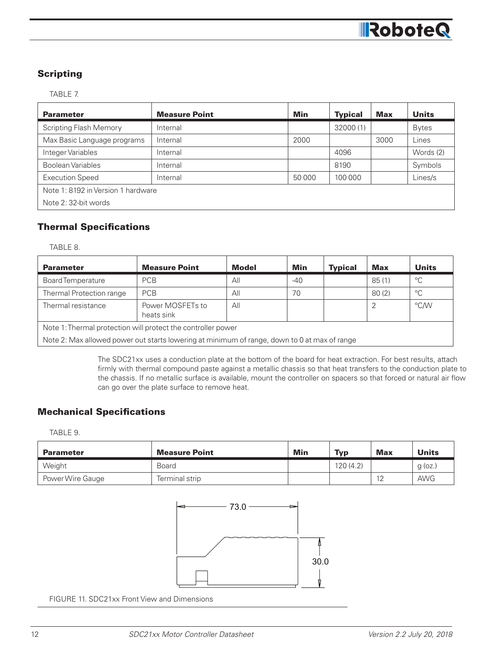### **Scripting**

### TABLE 7.

| <b>Parameter</b>                   | <b>Measure Point</b> | Min    | <b>Typical</b> | <b>Max</b> | <b>Units</b> |  |  |
|------------------------------------|----------------------|--------|----------------|------------|--------------|--|--|
| <b>Scripting Flash Memory</b>      | Internal             |        | 32000(1)       |            | <b>Bytes</b> |  |  |
| Max Basic Language programs        | Internal             | 2000   |                | 3000       | Lines        |  |  |
| Integer Variables                  | Internal             |        | 4096           |            | Words (2)    |  |  |
| <b>Boolean Variables</b>           | Internal             |        | 8190           |            | Symbols      |  |  |
| <b>Execution Speed</b>             | Internal             | 50 000 | 100 000        |            | Lines/s      |  |  |
| Note 1: 8192 in Version 1 hardware |                      |        |                |            |              |  |  |
| Note 2:32-bit words                |                      |        |                |            |              |  |  |

### Thermal Specifications

TABLE 8.

| <b>Parameter</b>                                                                             | <b>Measure Point</b>           | <b>Model</b> | Min   | <b>Typical</b> | Max   | <b>Units</b> |  |
|----------------------------------------------------------------------------------------------|--------------------------------|--------------|-------|----------------|-------|--------------|--|
| <b>Board Temperature</b>                                                                     | <b>PCB</b>                     | All          | $-40$ |                | 85(1) | $^{\circ}$ C |  |
| Thermal Protection range                                                                     | <b>PCB</b>                     | All          | 70    |                | 80(2) | $^{\circ}C$  |  |
| Thermal resistance                                                                           | Power MOSFETs to<br>heats sink | All          |       |                |       | °C/W         |  |
| Note 1: Thermal protection will protect the controller power                                 |                                |              |       |                |       |              |  |
| Note 2: Max allowed power out starts lowering at minimum of range, down to 0 at max of range |                                |              |       |                |       |              |  |

The SDC21xx uses a conduction plate at the bottom of the board for heat extraction. For best results, attach firmly with thermal compound paste against a metallic chassis so that heat transfers to the conduction plate to the chassis. If no metallic surface is available, mount the controller on spacers so that forced or natural air flow can go over the plate surface to remove heat.

### Mechanical Specifications

TABLE 9.

| <b>Parameter</b> | <b>Measure Point</b> | Min | <b>Typ</b> | <b>Max</b> | <b>Units</b> |
|------------------|----------------------|-----|------------|------------|--------------|
| Weight           | Board                |     | 120(4.2)   |            | $g$ (oz.     |
| Power Wire Gauge | Terminal strip       |     |            | 12<br>╺    | <b>AWG</b>   |



FIGURE 11. SDC21xx Front View and Dimensions